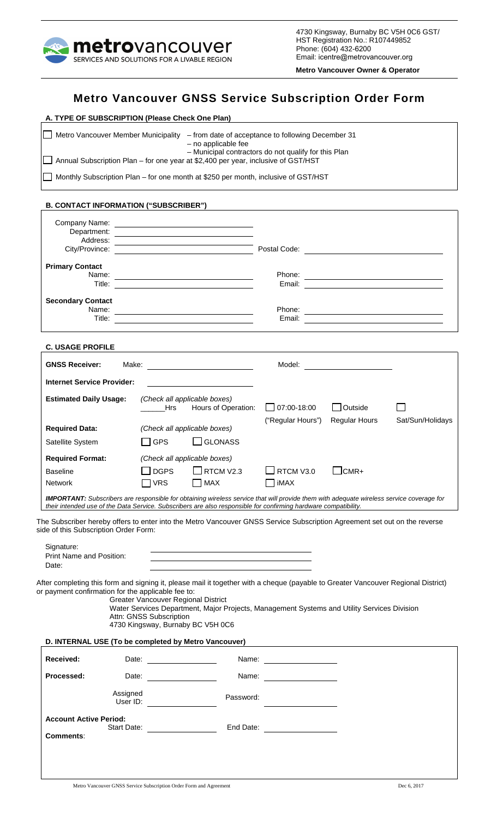

4730 Kingsway, Burnaby BC V5H 0C6 GST/ HST Registration No.: R107449852 Phone: (604) 432-6200 Email: [icentre@metrovancouver.org](mailto:icentre@metrovancouver.org)

**Metro Vancouver Owner & Operator** 

# **Metro Vancouver GNSS Service Subscription Order Form**

| A. TYPE OF SUBSCRIPTION (Please Check One Plan) |                                                                                                                                   |  |  |  |  |  |
|-------------------------------------------------|-----------------------------------------------------------------------------------------------------------------------------------|--|--|--|--|--|
| Metro Vancouver Member Municipality             | - from date of acceptance to following December 31<br>- no applicable fee<br>- Municipal contractors do not qualify for this Plan |  |  |  |  |  |
|                                                 | □ Annual Subscription Plan – for one year at \$2,400 per year, inclusive of GST/HST                                               |  |  |  |  |  |
|                                                 | Monthly Subscription Plan – for one month at \$250 per month, inclusive of GST/HST                                                |  |  |  |  |  |

#### **B. CONTACT INFORMATION ("SUBSCRIBER")**

| Address:                                                                                                                                                                                                                                                                                                                                                                                                         |                                                                                                            | <u> 1989 - Johann Stoff, deutscher Stoffen und der Stoffen und der Stoffen und der Stoffen und der Stoffen und der</u> | Postal Code: National Code: National Code: National Code: National Code: National Code: National Code: National Code: National Code: National Code: National Code: National Code: National Code: National Code: National Code: |                                   |                  |
|------------------------------------------------------------------------------------------------------------------------------------------------------------------------------------------------------------------------------------------------------------------------------------------------------------------------------------------------------------------------------------------------------------------|------------------------------------------------------------------------------------------------------------|------------------------------------------------------------------------------------------------------------------------|--------------------------------------------------------------------------------------------------------------------------------------------------------------------------------------------------------------------------------|-----------------------------------|------------------|
| <b>Primary Contact</b><br>Name:                                                                                                                                                                                                                                                                                                                                                                                  |                                                                                                            |                                                                                                                        |                                                                                                                                                                                                                                |                                   |                  |
| <b>Secondary Contact</b>                                                                                                                                                                                                                                                                                                                                                                                         |                                                                                                            |                                                                                                                        |                                                                                                                                                                                                                                |                                   |                  |
| <b>C. USAGE PROFILE</b>                                                                                                                                                                                                                                                                                                                                                                                          |                                                                                                            |                                                                                                                        |                                                                                                                                                                                                                                |                                   |                  |
| <b>GNSS Receiver:</b>                                                                                                                                                                                                                                                                                                                                                                                            |                                                                                                            |                                                                                                                        |                                                                                                                                                                                                                                | Model: __________________________ |                  |
| <b>Internet Service Provider:</b><br><b>Estimated Daily Usage:</b>                                                                                                                                                                                                                                                                                                                                               | Hrs                                                                                                        | (Check all applicable boxes)<br>Hours of Operation:                                                                    | 07:00-18:00<br>("Regular Hours")                                                                                                                                                                                               | Outside<br><b>Regular Hours</b>   | Sat/Sun/Holidays |
| <b>Required Data:</b><br>Satellite System                                                                                                                                                                                                                                                                                                                                                                        | GPS                                                                                                        | (Check all applicable boxes)<br>$\Box$ GLONASS                                                                         |                                                                                                                                                                                                                                |                                   |                  |
| <b>Required Format:</b><br><b>Baseline</b><br><b>Network</b><br><b>IMPORTANT:</b> Subscribers are responsible for obtaining wireless service that will provide them with adequate wireless service coverage for<br>their intended use of the Data Service. Subscribers are also responsible for confirming hardware compatibility.                                                                               | <b>DGPS</b><br>$\sqcap$ VRS                                                                                | (Check all applicable boxes)<br>$\Box$ RTCM V2.3<br>$\Box$ MAX                                                         | RTCM V3.0<br>iMAX                                                                                                                                                                                                              | $\Box$ CMR+                       |                  |
| The Subscriber hereby offers to enter into the Metro Vancouver GNSS Service Subscription Agreement set out on the reverse<br>side of this Subscription Order Form:<br>Signature:<br>Print Name and Position:<br>Date:<br>After completing this form and signing it, please mail it together with a cheque (payable to Greater Vancouver Regional District)<br>or payment confirmation for the applicable fee to: | <b>Greater Vancouver Regional District</b><br>Attn: GNSS Subscription<br>4730 Kingsway, Burnaby BC V5H 0C6 | Water Services Department, Major Projects, Management Systems and Utility Services Division                            |                                                                                                                                                                                                                                |                                   |                  |
| D. INTERNAL USE (To be completed by Metro Vancouver)<br>Received:                                                                                                                                                                                                                                                                                                                                                |                                                                                                            |                                                                                                                        | <u> 1989 - Johann Stein, fransk politik (d. 1989)</u>                                                                                                                                                                          |                                   |                  |
| Processed:                                                                                                                                                                                                                                                                                                                                                                                                       | Date: ___________________                                                                                  |                                                                                                                        |                                                                                                                                                                                                                                |                                   |                  |
| Assigned                                                                                                                                                                                                                                                                                                                                                                                                         | User ID: _________________                                                                                 | Password:                                                                                                              |                                                                                                                                                                                                                                |                                   |                  |
| <b>Account Active Period:</b><br><b>Comments:</b>                                                                                                                                                                                                                                                                                                                                                                |                                                                                                            |                                                                                                                        | End Date: ____________________                                                                                                                                                                                                 |                                   |                  |